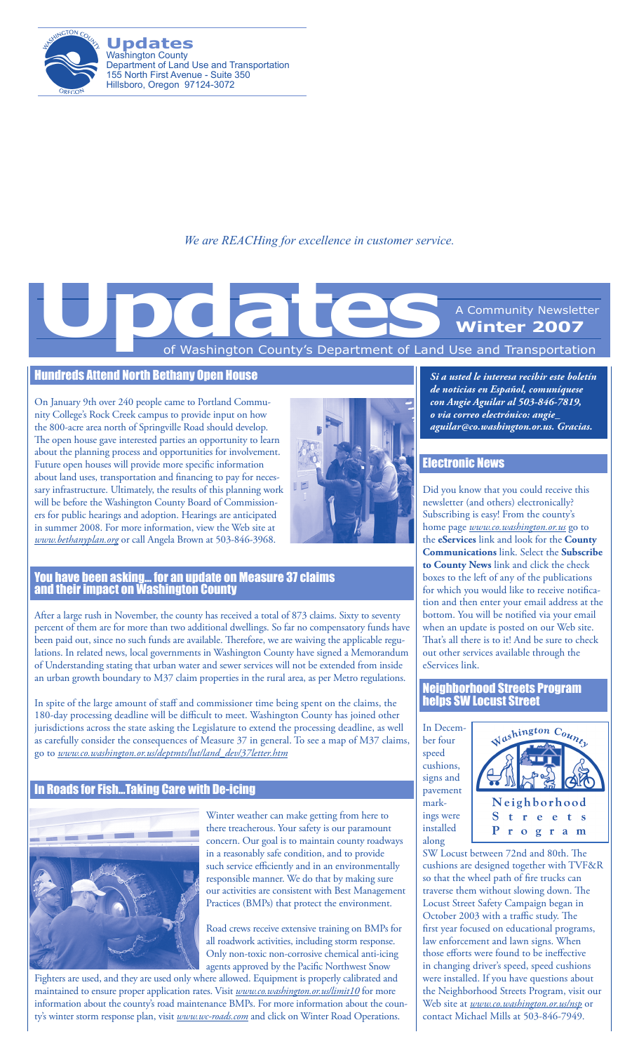

**Updates** Washington County Department of Land Use and Transportation 155 North First Avenue - Suite 350 Hillsboro, Oregon 97124-3072

*We are REACHing for excellence in customer service.*

# of Washington County's Department of Land Use and Transportation A Community Newsletter **Winter 2007 Updates**<br>
The Mashington County's Department of Land

#### Hundreds Attend North Bethany Open House

On January 9th over 240 people came to Portland Community College's Rock Creek campus to provide input on how the 800-acre area north of Springville Road should develop. The open house gave interested parties an opportunity to learn about the planning process and opportunities for involvement. Future open houses will provide more specific information about land uses, transportation and financing to pay for necessary infrastructure. Ultimately, the results of this planning work will be before the Washington County Board of Commissioners for public hearings and adoption. Hearings are anticipated in summer 2008. For more information, view the Web site at *www.bethanyplan.org* or call Angela Brown at 503-846-3968.



#### You have been asking… for an update on Measure 37 claims and their impact on Washington County

After a large rush in November, the county has received a total of 873 claims. Sixty to seventy percent of them are for more than two additional dwellings. So far no compensatory funds have been paid out, since no such funds are available. Therefore, we are waiving the applicable regulations. In related news, local governments in Washington County have signed a Memorandum of Understanding stating that urban water and sewer services will not be extended from inside an urban growth boundary to M37 claim properties in the rural area, as per Metro regulations.

In spite of the large amount of staff and commissioner time being spent on the claims, the 180-day processing deadline will be difficult to meet. Washington County has joined other jurisdictions across the state asking the Legislature to extend the processing deadline, as well as carefully consider the consequences of Measure 37 in general. To see a map of M37 claims, go to *www.co.washington.or.us/deptmts/lut/land\_dev/37letter.htm*

### In Roads for Fish…Taking Care with De-icing



Winter weather can make getting from here to there treacherous. Your safety is our paramount concern. Our goal is to maintain county roadways in a reasonably safe condition, and to provide such service efficiently and in an environmentally responsible manner. We do that by making sure our activities are consistent with Best Management Practices (BMPs) that protect the environment.

Road crews receive extensive training on BMPs for all roadwork activities, including storm response. Only non-toxic non-corrosive chemical anti-icing agents approved by the Pacific Northwest Snow

Fighters are used, and they are used only where allowed. Equipment is properly calibrated and maintained to ensure proper application rates. Visit *www.co.washington.or.us/limit10* for more information about the county's road maintenance BMPs. For more information about the county's winter storm response plan, visit *www.wc-roads.com* and click on Winter Road Operations.

*Si a usted le interesa recibir este boletín de noticias en Español, comuníquese con Angie Aguilar al 503-846-7819, o via correo electrónico: angie\_ aguilar@co.washington.or.us. Gracias.*

### Electronic News

Did you know that you could receive this newsletter (and others) electronically? Subscribing is easy! From the county's home page *www.co.washington.or.us* go to the **eServices** link and look for the **County Communications** link. Select the **Subscribe to County News** link and click the check boxes to the left of any of the publications for which you would like to receive notification and then enter your email address at the bottom. You will be notified via your email when an update is posted on our Web site. That's all there is to it! And be sure to check out other services available through the eServices link.

Neighborhood Streets Program helps SW Locust Street

In December four speed cushions, signs and pavement markings were installed along



SW Locust between 72nd and 80th. The cushions are designed together with TVF&R so that the wheel path of fire trucks can traverse them without slowing down. The Locust Street Safety Campaign began in October 2003 with a traffic study. The first year focused on educational programs, law enforcement and lawn signs. When those efforts were found to be ineffective in changing driver's speed, speed cushions were installed. If you have questions about the Neighborhood Streets Program, visit our Web site at *www.co.washington.or.us/nsp* or contact Michael Mills at 503-846-7949.